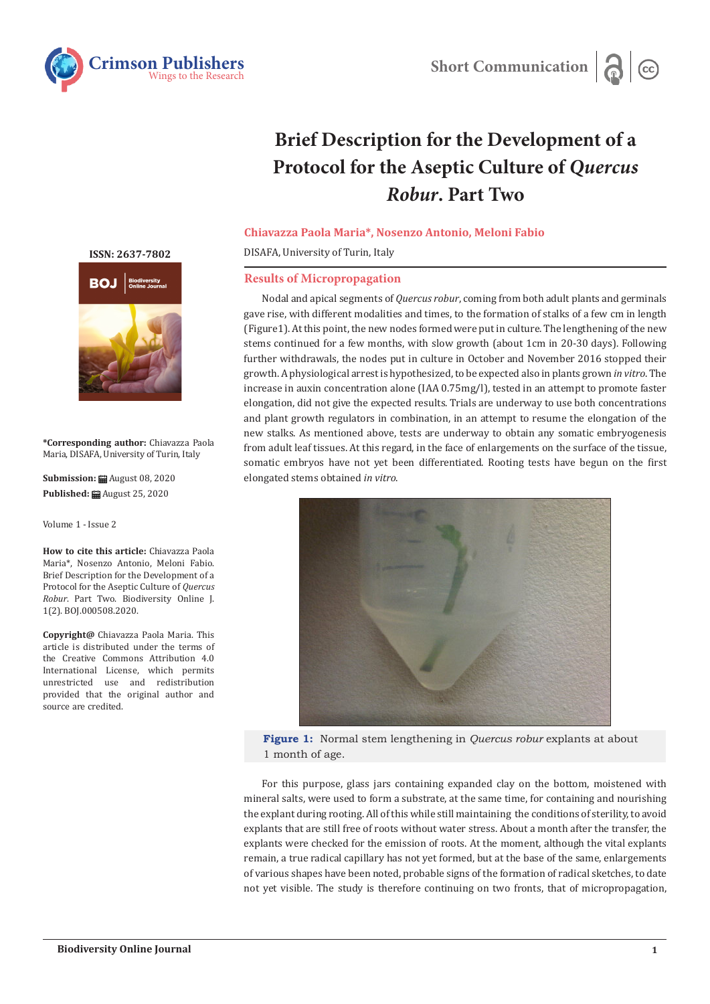

# **Brief Description for the Development of a Protocol for the Aseptic Culture of** *Quercus Robur***. Part Two**

### **Chiavazza Paola Maria\*, Nosenzo Antonio, Meloni Fabio**

DISAFA, University of Turin, Italy

#### **Results of Micropropagation**

Nodal and apical segments of *Quercus robur*, coming from both adult plants and germinals gave rise, with different modalities and times, to the formation of stalks of a few cm in length (Figure1). At this point, the new nodes formed were put in culture. The lengthening of the new stems continued for a few months, with slow growth (about 1cm in 20-30 days). Following further withdrawals, the nodes put in culture in October and November 2016 stopped their growth. A physiological arrest is hypothesized, to be expected also in plants grown *in vitro*. The increase in auxin concentration alone (IAA 0.75mg/l), tested in an attempt to promote faster elongation, did not give the expected results. Trials are underway to use both concentrations and plant growth regulators in combination, in an attempt to resume the elongation of the new stalks. As mentioned above, tests are underway to obtain any somatic embryogenesis from adult leaf tissues. At this regard, in the face of enlargements on the surface of the tissue, somatic embryos have not yet been differentiated. Rooting tests have begun on the first elongated stems obtained *in vitro*.



**Figure 1:** Normal stem lengthening in *Quercus robur* explants at about 1 month of age.

For this purpose, glass jars containing expanded clay on the bottom, moistened with mineral salts, were used to form a substrate, at the same time, for containing and nourishing the explant during rooting. All of this while still maintaining the conditions of sterility, to avoid explants that are still free of roots without water stress. About a month after the transfer, the explants were checked for the emission of roots. At the moment, although the vital explants remain, a true radical capillary has not yet formed, but at the base of the same, enlargements of various shapes have been noted, probable signs of the formation of radical sketches, to date not yet visible. The study is therefore continuing on two fronts, that of micropropagation,

#### **[ISSN: 2637-7802](https://crimsonpublishers.com/boj/)**



**\*Corresponding author:** Chiavazza Paola Maria, DISAFA, University of Turin, Italy

**Submission: 自 August 08, 2020 Published:** August 25, 2020

Volume 1 - Issue 2

**How to cite this article:** Chiavazza Paola Maria\*, Nosenzo Antonio, Meloni Fabio. Brief Description for the Development of a Protocol for the Aseptic Culture of *Quercus Robur*. Part Two. Biodiversity Online J. 1(2). BOJ.000508.2020.

**Copyright@** Chiavazza Paola Maria. This article is distributed under the terms of the Creative Commons Attribution 4.0 International License, which permits unrestricted use and redistribution provided that the original author and source are credited.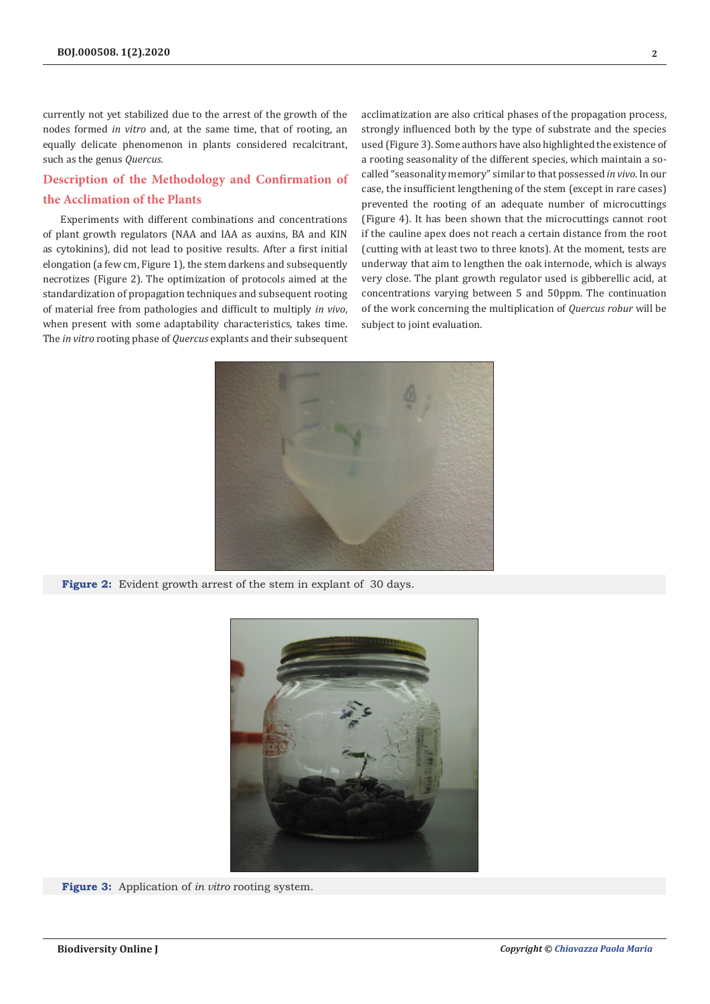currently not yet stabilized due to the arrest of the growth of the nodes formed *in vitro* and, at the same time, that of rooting, an equally delicate phenomenon in plants considered recalcitrant, such as the genus *Quercus.*

## **Description of the Methodology and Confirmation of the Acclimation of the Plants**

Experiments with different combinations and concentrations of plant growth regulators (NAA and IAA as auxins, BA and KIN as cytokinins), did not lead to positive results. After a first initial elongation (a few cm, Figure 1), the stem darkens and subsequently necrotizes (Figure 2). The optimization of protocols aimed at the standardization of propagation techniques and subsequent rooting of material free from pathologies and difficult to multiply *in vivo*, when present with some adaptability characteristics, takes time. The *in vitro* rooting phase of *Quercus* explants and their subsequent acclimatization are also critical phases of the propagation process, strongly influenced both by the type of substrate and the species used (Figure 3). Some authors have also highlighted the existence of a rooting seasonality of the different species, which maintain a socalled "seasonality memory" similar to that possessed *in vivo*. In our case, the insufficient lengthening of the stem (except in rare cases) prevented the rooting of an adequate number of microcuttings (Figure 4). It has been shown that the microcuttings cannot root if the cauline apex does not reach a certain distance from the root (cutting with at least two to three knots). At the moment, tests are underway that aim to lengthen the oak internode, which is always very close. The plant growth regulator used is gibberellic acid, at concentrations varying between 5 and 50ppm. The continuation of the work concerning the multiplication of *Quercus robur* will be subject to joint evaluation.



**Figure 2:** Evident growth arrest of the stem in explant of 30 days.



**Figure 3:** Application of *in vitro* rooting system.